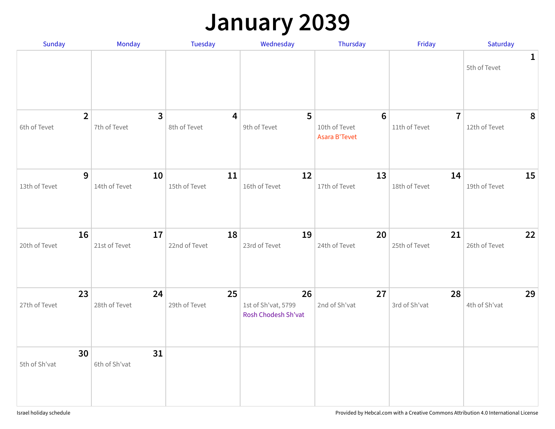### **January 2039**

| Sunday                         | Monday                         | Tuesday                                 | Wednesday                                        | Thursday                            | Friday                          | Saturday                     |
|--------------------------------|--------------------------------|-----------------------------------------|--------------------------------------------------|-------------------------------------|---------------------------------|------------------------------|
|                                |                                |                                         |                                                  |                                     |                                 | $\mathbf{1}$<br>5th of Tevet |
| $\overline{2}$<br>6th of Tevet | $\overline{3}$<br>7th of Tevet | $\overline{\mathbf{4}}$<br>8th of Tevet | 5<br>9th of Tevet                                | 6<br>10th of Tevet<br>Asara B'Tevet | $\overline{7}$<br>11th of Tevet | 8<br>12th of Tevet           |
| 9<br>13th of Tevet             | 10<br>14th of Tevet            | 11<br>15th of Tevet                     | 12<br>16th of Tevet                              | 13<br>17th of Tevet                 | 14<br>18th of Tevet             | 15<br>19th of Tevet          |
| 16<br>20th of Tevet            | 17<br>21st of Tevet            | 18<br>22nd of Tevet                     | 19<br>23rd of Tevet                              | 20<br>24th of Tevet                 | 21<br>25th of Tevet             | 22<br>26th of Tevet          |
| 23<br>27th of Tevet            | 24<br>28th of Tevet            | 25<br>29th of Tevet                     | 26<br>1st of Sh'vat, 5799<br>Rosh Chodesh Sh'vat | 27<br>2nd of Sh'vat                 | 28<br>3rd of Sh'vat             | 29<br>4th of Sh'vat          |
| 30<br>5th of Sh'vat            | 31<br>6th of Sh'vat            |                                         |                                                  |                                     |                                 |                              |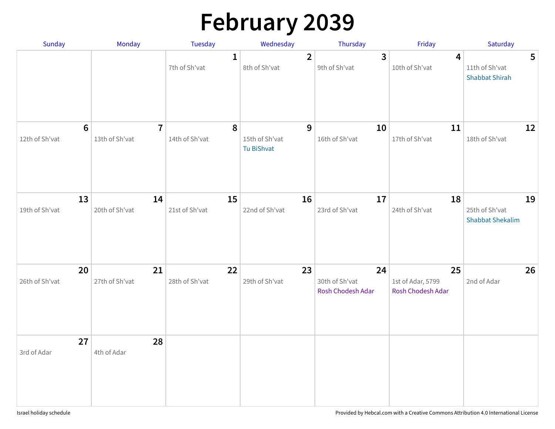# **February 2039**

| Sunday                           | Monday                           | <b>Tuesday</b>                | Wednesday                                | Thursday                                  | Friday                                       | Saturday                                                  |
|----------------------------------|----------------------------------|-------------------------------|------------------------------------------|-------------------------------------------|----------------------------------------------|-----------------------------------------------------------|
|                                  |                                  | $\mathbf{1}$<br>7th of Sh'vat | $\overline{2}$<br>8th of Sh'vat          | $\mathbf{3}$<br>9th of Sh'vat             | $\overline{\mathbf{4}}$<br>10th of Sh'vat    | $5\phantom{1}$<br>11th of Sh'vat<br><b>Shabbat Shirah</b> |
| $6\phantom{1}$<br>12th of Sh'vat | $\overline{7}$<br>13th of Sh'vat | 8<br>14th of Sh'vat           | 9<br>15th of Sh'vat<br><b>Tu BiShvat</b> | 10<br>16th of Sh'vat                      | 11<br>17th of Sh'vat                         | 12<br>18th of Sh'vat                                      |
| 13<br>19th of Sh'vat             | 14<br>20th of Sh'vat             | 15<br>21st of Sh'vat          | 16<br>22nd of Sh'vat                     | 17<br>23rd of Sh'vat                      | 18<br>24th of Sh'vat                         | 19<br>25th of Sh'vat<br><b>Shabbat Shekalim</b>           |
| 20<br>26th of Sh'vat             | 21<br>27th of Sh'vat             | 22<br>28th of Sh'vat          | 23<br>29th of Sh'vat                     | 24<br>30th of Sh'vat<br>Rosh Chodesh Adar | 25<br>1st of Adar, 5799<br>Rosh Chodesh Adar | 26<br>2nd of Adar                                         |
| 27<br>3rd of Adar                | 28<br>4th of Adar                |                               |                                          |                                           |                                              |                                                           |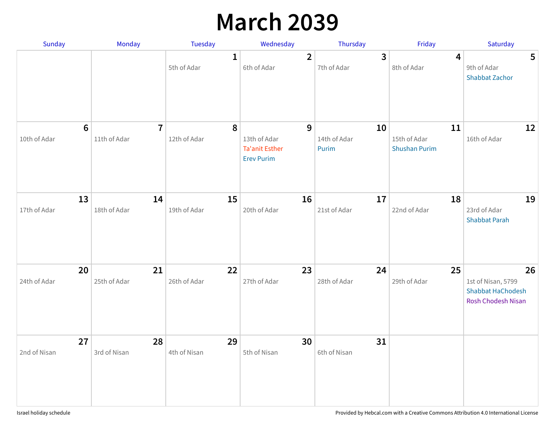## **March 2039**

| Sunday                          | Monday                         | Tuesday                     | Wednesday                                                       | Thursday                    | Friday                                     | Saturday                                                                          |
|---------------------------------|--------------------------------|-----------------------------|-----------------------------------------------------------------|-----------------------------|--------------------------------------------|-----------------------------------------------------------------------------------|
|                                 |                                | $\mathbf{1}$<br>5th of Adar | $\overline{2}$<br>6th of Adar                                   | 3<br>7th of Adar            | 4<br>8th of Adar                           | $5\phantom{.0}$<br>9th of Adar<br><b>Shabbat Zachor</b>                           |
| $6\phantom{1}6$<br>10th of Adar | $\overline{7}$<br>11th of Adar | 8<br>12th of Adar           | 9<br>13th of Adar<br><b>Ta'anit Esther</b><br><b>Erev Purim</b> | 10<br>14th of Adar<br>Purim | 11<br>15th of Adar<br><b>Shushan Purim</b> | 12<br>16th of Adar                                                                |
| 13<br>17th of Adar              | 14<br>18th of Adar             | 15<br>19th of Adar          | 16<br>20th of Adar                                              | 17<br>21st of Adar          | 18<br>22nd of Adar                         | 19<br>23rd of Adar<br><b>Shabbat Parah</b>                                        |
| 20<br>24th of Adar              | 21<br>25th of Adar             | 22<br>26th of Adar          | 23<br>27th of Adar                                              | 24<br>28th of Adar          | 25<br>29th of Adar                         | 26<br>1st of Nisan, 5799<br><b>Shabbat HaChodesh</b><br><b>Rosh Chodesh Nisan</b> |
| 27<br>2nd of Nisan              | 28<br>3rd of Nisan             | 29<br>4th of Nisan          | 30<br>5th of Nisan                                              | 31<br>6th of Nisan          |                                            |                                                                                   |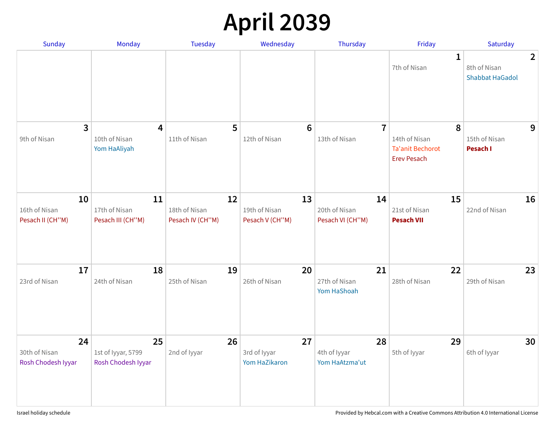## **April 2039**

| <b>Sunday</b>                             | Monday                                         | <b>Tuesday</b>                          | Wednesday                              | Thursday                                | Friday                                                              | Saturday                                                 |
|-------------------------------------------|------------------------------------------------|-----------------------------------------|----------------------------------------|-----------------------------------------|---------------------------------------------------------------------|----------------------------------------------------------|
|                                           |                                                |                                         |                                        |                                         | 1<br>7th of Nisan                                                   | $\overline{2}$<br>8th of Nisan<br><b>Shabbat HaGadol</b> |
| $\overline{3}$<br>9th of Nisan            | 4<br>10th of Nisan<br>Yom HaAliyah             | 5<br>11th of Nisan                      | $6\phantom{1}$<br>12th of Nisan        | $\overline{7}$<br>13th of Nisan         | 8<br>14th of Nisan<br><b>Ta'anit Bechorot</b><br><b>Erev Pesach</b> | 9<br>15th of Nisan<br>Pesach I                           |
| 10<br>16th of Nisan<br>Pesach II (CH"M)   | 11<br>17th of Nisan<br>Pesach III (CH"M)       | 12<br>18th of Nisan<br>Pesach IV (CH"M) | 13<br>19th of Nisan<br>Pesach V (CH"M) | 14<br>20th of Nisan<br>Pesach VI (CH"M) | 15<br>21st of Nisan<br><b>Pesach VII</b>                            | 16<br>22nd of Nisan                                      |
| 17<br>23rd of Nisan                       | 18<br>24th of Nisan                            | 19<br>25th of Nisan                     | 20<br>26th of Nisan                    | 21<br>27th of Nisan<br>Yom HaShoah      | 22<br>28th of Nisan                                                 | 23<br>29th of Nisan                                      |
| 24<br>30th of Nisan<br>Rosh Chodesh Iyyar | 25<br>1st of Iyyar, 5799<br>Rosh Chodesh Iyyar | 26<br>2nd of Iyyar                      | 27<br>3rd of Iyyar<br>Yom HaZikaron    | 28<br>4th of Iyyar<br>Yom HaAtzma'ut    | 29<br>5th of Iyyar                                                  | 30<br>6th of Iyyar                                       |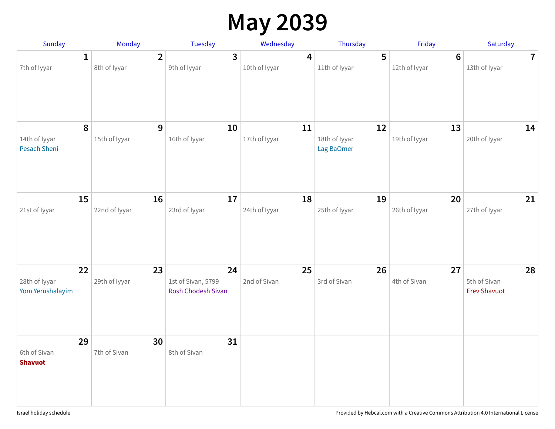## **May 2039**

| Sunday                                  | <b>Monday</b>                                  | Tuesday                                               | Wednesday                                | Thursday                          | Friday                          | Saturday                                  |
|-----------------------------------------|------------------------------------------------|-------------------------------------------------------|------------------------------------------|-----------------------------------|---------------------------------|-------------------------------------------|
| 7th of Iyyar                            | $\overline{2}$<br>$\mathbf{1}$<br>8th of Iyyar | $\overline{3}$<br>9th of Iyyar                        | $\overline{\mathbf{4}}$<br>10th of Iyyar | $5\phantom{1}$<br>11th of Iyyar   | $6\phantom{1}$<br>12th of Iyyar | 7 <sup>1</sup><br>13th of Iyyar           |
| 14th of Iyyar<br>Pesach Sheni           | 8<br>9<br>15th of Iyyar                        | 10<br>16th of Iyyar                                   | 11<br>17th of Iyyar                      | 12<br>18th of Iyyar<br>Lag BaOmer | 13<br>19th of Iyyar             | 14<br>20th of Iyyar                       |
| 15<br>21st of lyyar                     | 16<br>22nd of lyyar                            | 17<br>23rd of Iyyar                                   | 18<br>24th of Iyyar                      | 19<br>25th of Iyyar               | 20<br>26th of Iyyar             | 21<br>27th of Iyyar                       |
| 22<br>28th of Iyyar<br>Yom Yerushalayim | 23<br>29th of Iyyar                            | 24<br>1st of Sivan, 5799<br><b>Rosh Chodesh Sivan</b> | 25<br>2nd of Sivan                       | 26<br>3rd of Sivan                | 27<br>4th of Sivan              | 28<br>5th of Sivan<br><b>Erev Shavuot</b> |
| 29<br>6th of Sivan<br><b>Shavuot</b>    | 30<br>7th of Sivan                             | 31<br>8th of Sivan                                    |                                          |                                   |                                 |                                           |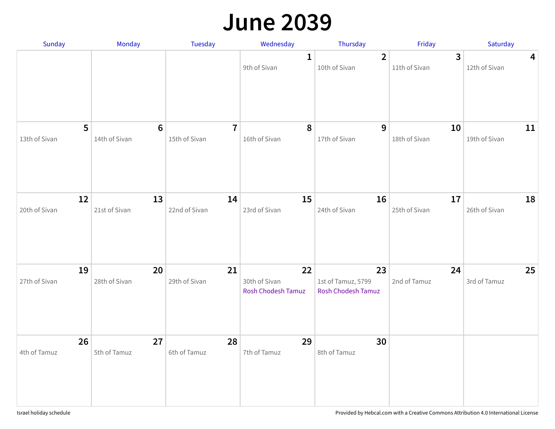#### **June 2039**

| Sunday              | Monday                          | Tuesday                         | Wednesday                                 | Thursday                                              | Friday                          | Saturday                                 |
|---------------------|---------------------------------|---------------------------------|-------------------------------------------|-------------------------------------------------------|---------------------------------|------------------------------------------|
|                     |                                 |                                 | 1<br>9th of Sivan                         | $\overline{2}$<br>10th of Sivan                       | $\overline{3}$<br>11th of Sivan | $\overline{\mathbf{4}}$<br>12th of Sivan |
| 5<br>13th of Sivan  | $6\phantom{1}$<br>14th of Sivan | $\overline{7}$<br>15th of Sivan | 8<br>16th of Sivan                        | 9<br>17th of Sivan                                    | 10<br>18th of Sivan             | 11<br>19th of Sivan                      |
| 12<br>20th of Sivan | 13<br>21st of Sivan             | 14<br>22nd of Sivan             | 15<br>23rd of Sivan                       | 16<br>24th of Sivan                                   | 17<br>25th of Sivan             | 18<br>26th of Sivan                      |
| 19<br>27th of Sivan | 20<br>28th of Sivan             | 21<br>29th of Sivan             | 22<br>30th of Sivan<br>Rosh Chodesh Tamuz | 23<br>1st of Tamuz, 5799<br><b>Rosh Chodesh Tamuz</b> | 24<br>2nd of Tamuz              | 25<br>3rd of Tamuz                       |
| 26<br>4th of Tamuz  | 27<br>5th of Tamuz              | 28<br>6th of Tamuz              | 29<br>7th of Tamuz                        | 30<br>8th of Tamuz                                    |                                 |                                          |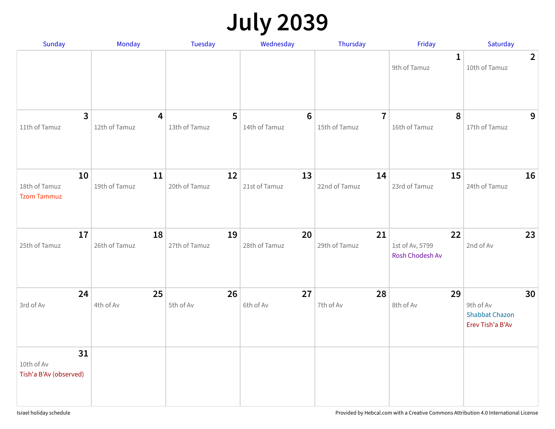## **July 2039**

| Sunday                                     | Monday              | Tuesday             | Wednesday                        | Thursday                        | Friday                                   | Saturday                                                     |
|--------------------------------------------|---------------------|---------------------|----------------------------------|---------------------------------|------------------------------------------|--------------------------------------------------------------|
|                                            |                     |                     |                                  |                                 | $\mathbf 1$<br>9th of Tamuz              | $\overline{2}$<br>10th of Tamuz                              |
| 3<br>11th of Tamuz                         | 4<br>12th of Tamuz  | 5<br>13th of Tamuz  | $6\phantom{1}6$<br>14th of Tamuz | $\overline{7}$<br>15th of Tamuz | 8<br>16th of Tamuz                       | 9<br>17th of Tamuz                                           |
| 10<br>18th of Tamuz<br><b>Tzom Tammuz</b>  | 11<br>19th of Tamuz | 12<br>20th of Tamuz | 13<br>21st of Tamuz              | 14<br>22nd of Tamuz             | 15<br>23rd of Tamuz                      | 16<br>24th of Tamuz                                          |
| 17<br>25th of Tamuz                        | 18<br>26th of Tamuz | 19<br>27th of Tamuz | 20<br>28th of Tamuz              | 21<br>29th of Tamuz             | 22<br>1st of Av, 5799<br>Rosh Chodesh Av | 23<br>2nd of Av                                              |
| 24<br>3rd of Av                            | 25<br>4th of Av     | 26<br>5th of Av     | 27<br>6th of Av                  | 28<br>7th of Av                 | 29<br>8th of Av                          | 30<br>9th of Av<br><b>Shabbat Chazon</b><br>Erev Tish'a B'Av |
| 31<br>10th of Av<br>Tish'a B'Av (observed) |                     |                     |                                  |                                 |                                          |                                                              |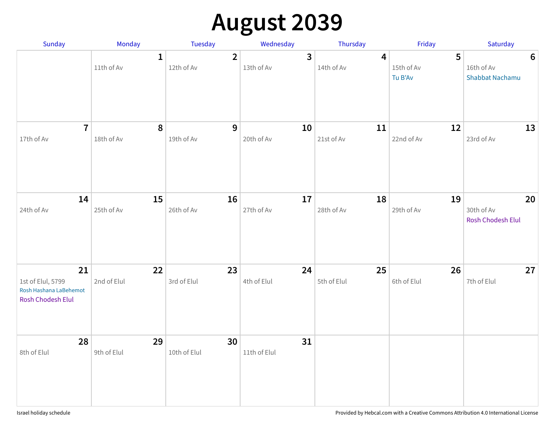## **August 2039**

| Sunday                                                                        | Monday                     | Tuesday                      | Wednesday                             | Thursday          | Friday                     | Saturday                                                |
|-------------------------------------------------------------------------------|----------------------------|------------------------------|---------------------------------------|-------------------|----------------------------|---------------------------------------------------------|
|                                                                               | $\mathbf{1}$<br>11th of Av | $\overline{2}$<br>12th of Av | $\overline{\mathbf{3}}$<br>13th of Av | 4<br>14th of Av   | 5<br>15th of Av<br>Tu B'Av | $6\phantom{1}6$<br>16th of Av<br><b>Shabbat Nachamu</b> |
| $\overline{7}$<br>17th of Av                                                  | 8<br>18th of Av            | 9<br>19th of Av              | 10<br>20th of Av                      | 11<br>21st of Av  | 12<br>22nd of Av           | 13<br>23rd of Av                                        |
| 14<br>24th of Av                                                              | 15<br>25th of Av           | 16<br>26th of Av             | 17<br>27th of Av                      | 18<br>28th of Av  | 19<br>29th of Av           | 20<br>30th of Av<br>Rosh Chodesh Elul                   |
| 21<br>1st of Elul, 5799<br>Rosh Hashana LaBehemot<br><b>Rosh Chodesh Elul</b> | 22<br>2nd of Elul          | 23<br>3rd of Elul            | 24<br>4th of Elul                     | 25<br>5th of Elul | 26<br>6th of Elul          | 27<br>7th of Elul                                       |
| 28<br>8th of Elul                                                             | 29<br>9th of Elul          | 30<br>10th of Elul           | 31<br>11th of Elul                    |                   |                            |                                                         |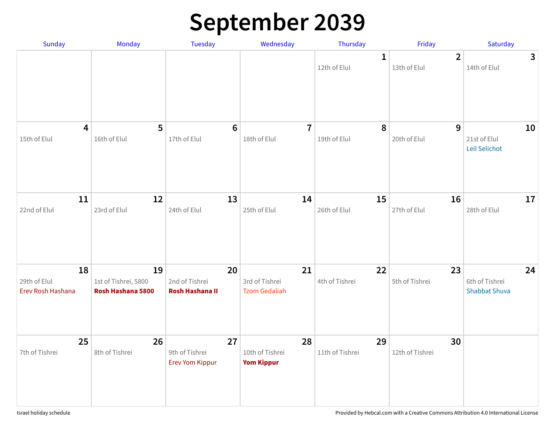### **September 2039**

| Sunday                                  | Monday                                          | Tuesday                                        | Wednesday                                    | Thursday                    | Friday                         | Saturday                                     |
|-----------------------------------------|-------------------------------------------------|------------------------------------------------|----------------------------------------------|-----------------------------|--------------------------------|----------------------------------------------|
|                                         |                                                 |                                                |                                              | $\mathbf 1$<br>12th of Elul | $\overline{2}$<br>13th of Elul | $\mathbf{3}$<br>14th of Elul                 |
| $\overline{\mathbf{4}}$<br>15th of Elul | 5<br>16th of Elul                               | $6\phantom{1}6$<br>17th of Elul                | $\overline{7}$<br>18th of Elul               | 8<br>19th of Elul           | 9<br>20th of Elul              | 10<br>21st of Elul<br>Leil Selichot          |
| 11<br>22nd of Elul                      | 12<br>23rd of Elul                              | 13<br>24th of Elul                             | 14<br>25th of Elul                           | 15<br>26th of Elul          | 16<br>27th of Elul             | 17<br>28th of Elul                           |
| 18<br>29th of Elul<br>Erev Rosh Hashana | 19<br>1st of Tishrei, 5800<br>Rosh Hashana 5800 | 20<br>2nd of Tishrei<br><b>Rosh Hashana II</b> | 21<br>3rd of Tishrei<br><b>Tzom Gedaliah</b> | 22<br>4th of Tishrei        | 23<br>5th of Tishrei           | 24<br>6th of Tishrei<br><b>Shabbat Shuva</b> |
| 25<br>7th of Tishrei                    | 26<br>8th of Tishrei                            | 27<br>9th of Tishrei<br><b>Erev Yom Kippur</b> | 28<br>10th of Tishrei<br><b>Yom Kippur</b>   | 29<br>11th of Tishrei       | 30<br>12th of Tishrei          |                                              |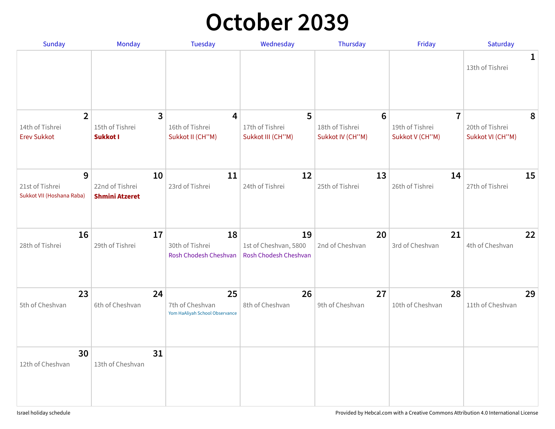#### **October 2039**

| Sunday                            | Monday                | Tuesday                                  | Wednesday                                      | Thursday             | Friday                            | Saturday             |
|-----------------------------------|-----------------------|------------------------------------------|------------------------------------------------|----------------------|-----------------------------------|----------------------|
|                                   |                       |                                          |                                                |                      |                                   | $\mathbf 1$          |
|                                   |                       |                                          |                                                |                      |                                   | 13th of Tishrei      |
|                                   |                       |                                          |                                                |                      |                                   |                      |
|                                   |                       |                                          |                                                |                      |                                   |                      |
|                                   |                       |                                          |                                                |                      |                                   |                      |
| $\overline{2}$<br>14th of Tishrei | 3<br>15th of Tishrei  | 4<br>16th of Tishrei                     | 5<br>17th of Tishrei                           | 6<br>18th of Tishrei | $\overline{7}$<br>19th of Tishrei | 8<br>20th of Tishrei |
| <b>Erev Sukkot</b>                | Sukkot I              | Sukkot II (CH"M)                         | Sukkot III (CH"M)                              | Sukkot IV (CH"M)     | Sukkot V (CH"M)                   | Sukkot VI (CH"M)     |
|                                   |                       |                                          |                                                |                      |                                   |                      |
|                                   |                       |                                          |                                                |                      |                                   |                      |
| 9                                 | 10                    | 11                                       | 12                                             | 13                   | 14                                | 15                   |
| 21st of Tishrei                   | 22nd of Tishrei       | 23rd of Tishrei                          | 24th of Tishrei                                | 25th of Tishrei      | 26th of Tishrei                   | 27th of Tishrei      |
| Sukkot VII (Hoshana Raba)         | <b>Shmini Atzeret</b> |                                          |                                                |                      |                                   |                      |
|                                   |                       |                                          |                                                |                      |                                   |                      |
|                                   |                       |                                          |                                                |                      |                                   |                      |
| 16                                | 17                    | 18                                       | 19                                             | 20                   | 21                                | 22                   |
| 28th of Tishrei                   | 29th of Tishrei       | 30th of Tishrei<br>Rosh Chodesh Cheshvan | 1st of Cheshvan, 5800<br>Rosh Chodesh Cheshvan | 2nd of Cheshvan      | 3rd of Cheshvan                   | 4th of Cheshvan      |
|                                   |                       |                                          |                                                |                      |                                   |                      |
|                                   |                       |                                          |                                                |                      |                                   |                      |
| 23                                | 24                    | 25                                       | 26                                             | 27                   | 28                                | 29                   |
| 5th of Cheshvan                   | 6th of Cheshvan       | 7th of Cheshvan                          | 8th of Cheshvan                                | 9th of Cheshvan      | 10th of Cheshvan                  | 11th of Cheshvan     |
|                                   |                       | Yom HaAliyah School Observance           |                                                |                      |                                   |                      |
|                                   |                       |                                          |                                                |                      |                                   |                      |
|                                   |                       |                                          |                                                |                      |                                   |                      |
| 30                                | 31                    |                                          |                                                |                      |                                   |                      |
| 12th of Cheshvan                  | 13th of Cheshvan      |                                          |                                                |                      |                                   |                      |
|                                   |                       |                                          |                                                |                      |                                   |                      |
|                                   |                       |                                          |                                                |                      |                                   |                      |
|                                   |                       |                                          |                                                |                      |                                   |                      |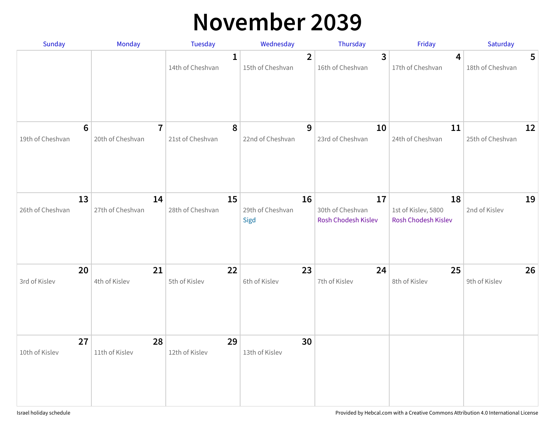#### **November 2039**

| Sunday                 | Monday                             | Tuesday                          | Wednesday                          | Thursday                                      | Friday                                           | Saturday                            |
|------------------------|------------------------------------|----------------------------------|------------------------------------|-----------------------------------------------|--------------------------------------------------|-------------------------------------|
|                        |                                    | $\mathbf{1}$<br>14th of Cheshvan | $\overline{2}$<br>15th of Cheshvan | $\mathbf{3}$<br>16th of Cheshvan              | 4<br>17th of Cheshvan                            | $5\phantom{.0}$<br>18th of Cheshvan |
| 6<br>19th of Cheshvan  | $\overline{7}$<br>20th of Cheshvan | 8<br>21st of Cheshvan            | 9<br>22nd of Cheshvan              | 10<br>23rd of Cheshvan                        | 11<br>24th of Cheshvan                           | 12<br>25th of Cheshvan              |
| 13<br>26th of Cheshvan | 14<br>27th of Cheshvan             | 15<br>28th of Cheshvan           | 16<br>29th of Cheshvan<br>Sigd     | 17<br>30th of Cheshvan<br>Rosh Chodesh Kislev | 18<br>1st of Kislev, 5800<br>Rosh Chodesh Kislev | 19<br>2nd of Kislev                 |
| 20<br>3rd of Kislev    | 21<br>4th of Kislev                | 22<br>5th of Kislev              | 23<br>6th of Kislev                | 24<br>7th of Kislev                           | 25<br>8th of Kislev                              | 26<br>9th of Kislev                 |
| 27<br>10th of Kislev   | 28<br>11th of Kislev               | 29<br>12th of Kislev             | 30<br>13th of Kislev               |                                               |                                                  |                                     |